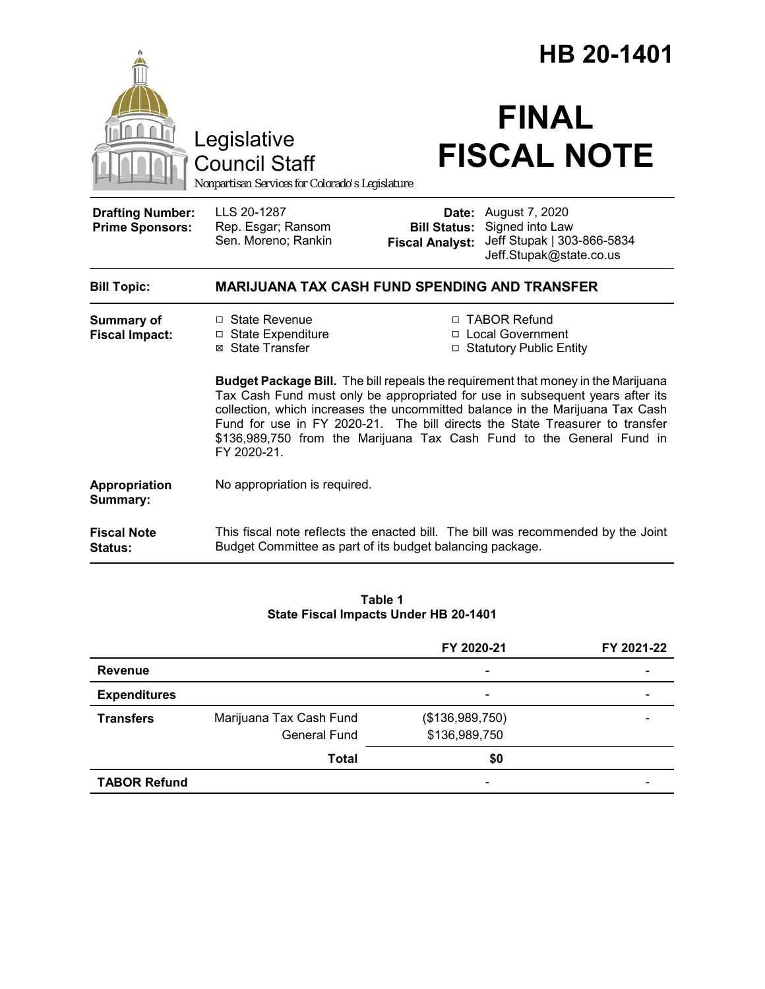|                                                   |                                                                                        | HB 20-1401                                                                                                                                                                                                                                     |                                                                                            |  |
|---------------------------------------------------|----------------------------------------------------------------------------------------|------------------------------------------------------------------------------------------------------------------------------------------------------------------------------------------------------------------------------------------------|--------------------------------------------------------------------------------------------|--|
|                                                   | Legislative<br><b>Council Staff</b><br>Nonpartisan Services for Colorado's Legislature |                                                                                                                                                                                                                                                | <b>FINAL</b><br><b>FISCAL NOTE</b>                                                         |  |
| <b>Drafting Number:</b><br><b>Prime Sponsors:</b> | LLS 20-1287<br>Rep. Esgar; Ransom<br>Sen. Moreno; Rankin                               | Date:<br><b>Bill Status:</b><br><b>Fiscal Analyst:</b>                                                                                                                                                                                         | August 7, 2020<br>Signed into Law<br>Jeff Stupak   303-866-5834<br>Jeff.Stupak@state.co.us |  |
| <b>Bill Topic:</b>                                | <b>MARIJUANA TAX CASH FUND SPENDING AND TRANSFER</b>                                   |                                                                                                                                                                                                                                                |                                                                                            |  |
| <b>Summary of</b><br><b>Fiscal Impact:</b>        | □ State Revenue<br>□ State Expenditure<br>⊠ State Transfer                             | □ TABOR Refund<br>□ Local Government<br>□ Statutory Public Entity<br><b>Budget Package Bill.</b> The bill repeals the requirement that money in the Marijuana<br>Tax Cash Fund must only be appropriated for use in subsequent years after its |                                                                                            |  |
|                                                   | FY 2020-21.                                                                            | collection, which increases the uncommitted balance in the Marijuana Tax Cash<br>Fund for use in FY 2020-21. The bill directs the State Treasurer to transfer<br>\$136,989,750 from the Marijuana Tax Cash Fund to the General Fund in         |                                                                                            |  |
| Appropriation<br>Summary:                         | No appropriation is required.                                                          |                                                                                                                                                                                                                                                |                                                                                            |  |
| <b>Fiscal Note</b><br><b>Status:</b>              | Budget Committee as part of its budget balancing package.                              |                                                                                                                                                                                                                                                | This fiscal note reflects the enacted bill. The bill was recommended by the Joint          |  |

#### **Table 1 State Fiscal Impacts Under HB 20-1401**

|                     |                         | FY 2020-21               | FY 2021-22 |
|---------------------|-------------------------|--------------------------|------------|
| <b>Revenue</b>      |                         | $\overline{\phantom{0}}$ |            |
| <b>Expenditures</b> |                         | $\overline{\phantom{a}}$ |            |
| <b>Transfers</b>    | Marijuana Tax Cash Fund | (\$136,989,750)          |            |
|                     | General Fund            | \$136,989,750            |            |
|                     | Total                   | \$0                      |            |
| <b>TABOR Refund</b> |                         |                          |            |